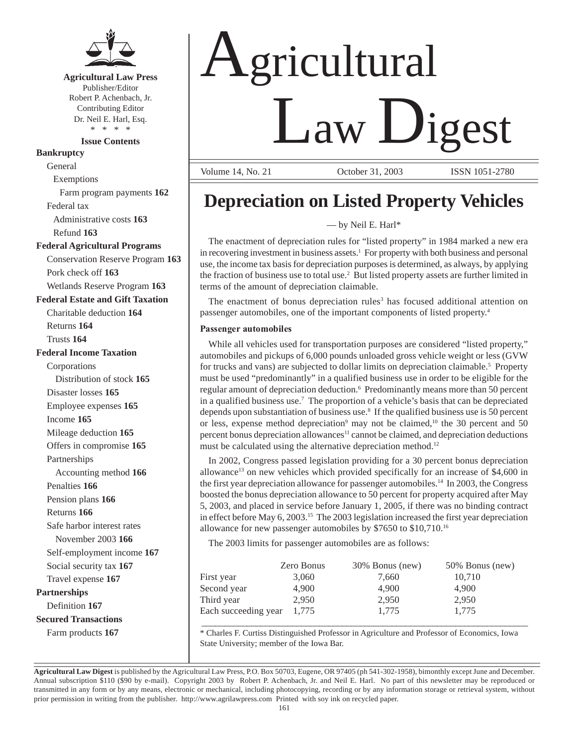

**Agricultural Law Press** Publisher/Editor Robert P. Achenbach, Jr. Contributing Editor Dr. Neil E. Harl, Esq. \* \* \* \*

**Issue Contents Bankruptcy** General Exemptions Farm program payments **162** Federal tax Administrative costs **163** Refund **163 Federal Agricultural Programs** Conservation Reserve Program **163** Pork check off **163** Wetlands Reserve Program **163 Federal Estate and Gift Taxation** Charitable deduction **164** Returns **164** Trusts **164 Federal Income Taxation Corporations** Distribution of stock **165** Disaster losses **165** Employee expenses **165** Income **165** Mileage deduction **165** Offers in compromise **165** Partnerships Accounting method **166** Penalties **166** Pension plans **166** Returns **166** Safe harbor interest rates November 2003 **166** Self-employment income **167** Social security tax **167** Travel expense **167**

**Partnerships** Definition **167 Secured Transactions** Farm products **167**

# **Agricultural** Law Digest Volume 14, No. 21 October 31, 2003 ISSN 1051-2780

## **Depreciation on Listed Property Vehicles**

#### — by Neil E. Harl\*

The enactment of depreciation rules for "listed property" in 1984 marked a new era in recovering investment in business assets.<sup>1</sup> For property with both business and personal use, the income tax basis for depreciation purposes is determined, as always, by applying the fraction of business use to total use.<sup>2</sup> But listed property assets are further limited in terms of the amount of depreciation claimable.

The enactment of bonus depreciation rules<sup>3</sup> has focused additional attention on passenger automobiles, one of the important components of listed property.4

#### **Passenger automobiles**

While all vehicles used for transportation purposes are considered "listed property," automobiles and pickups of 6,000 pounds unloaded gross vehicle weight or less (GVW for trucks and vans) are subjected to dollar limits on depreciation claimable.<sup>5</sup> Property must be used "predominantly" in a qualified business use in order to be eligible for the regular amount of depreciation deduction.6 Predominantly means more than 50 percent in a qualified business use.<sup>7</sup> The proportion of a vehicle's basis that can be depreciated depends upon substantiation of business use.8 If the qualified business use is 50 percent or less, expense method depreciation<sup>9</sup> may not be claimed,<sup>10</sup> the 30 percent and 50 percent bonus depreciation allowances<sup>11</sup> cannot be claimed, and depreciation deductions must be calculated using the alternative depreciation method.<sup>12</sup>

In 2002, Congress passed legislation providing for a 30 percent bonus depreciation allowance<sup>13</sup> on new vehicles which provided specifically for an increase of  $$4,600$  in the first year depreciation allowance for passenger automobiles.<sup>14</sup> In 2003, the Congress boosted the bonus depreciation allowance to 50 percent for property acquired after May 5, 2003, and placed in service before January 1, 2005, if there was no binding contract in effect before May 6, 2003.15 The 2003 legislation increased the first year depreciation allowance for new passenger automobiles by \$7650 to \$10,710.16

The 2003 limits for passenger automobiles are as follows:

|                      | Zero Bonus | 30% Bonus (new) | 50% Bonus (new) |
|----------------------|------------|-----------------|-----------------|
| First year           | 3,060      | 7,660           | 10,710          |
| Second year          | 4,900      | 4,900           | 4,900           |
| Third year           | 2.950      | 2.950           | 2.950           |
| Each succeeding year | 1.775      | 1.775           | 1.775           |

\_\_\_\_\_\_\_\_\_\_\_\_\_\_\_\_\_\_\_\_\_\_\_\_\_\_\_\_\_\_\_\_\_\_\_\_\_\_\_\_\_\_\_\_\_\_\_\_\_\_\_\_\_\_\_\_\_\_\_\_\_\_\_\_\_\_\_\_\_\_\_\_ \* Charles F. Curtiss Distinguished Professor in Agriculture and Professor of Economics, Iowa State University; member of the Iowa Bar.

**Agricultural Law Digest** is published by the Agricultural Law Press, P.O. Box 50703, Eugene, OR 97405 (ph 541-302-1958), bimonthly except June and December. Annual subscription \$110 (\$90 by e-mail). Copyright 2003 by Robert P. Achenbach, Jr. and Neil E. Harl. No part of this newsletter may be reproduced or transmitted in any form or by any means, electronic or mechanical, including photocopying, recording or by any information storage or retrieval system, without prior permission in writing from the publisher. http://www.agrilawpress.com Printed with soy ink on recycled paper.